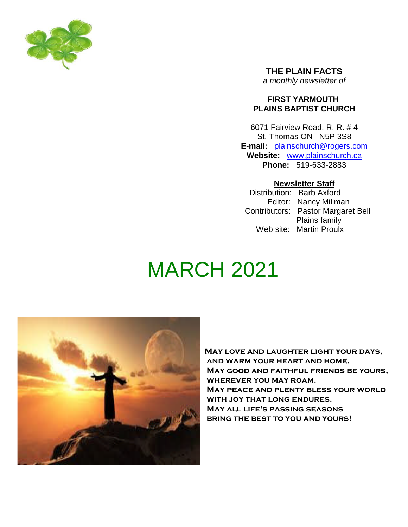

**THE PLAIN FACTS** *a monthly newsletter of*

### **FIRST YARMOUTH PLAINS BAPTIST CHURCH**

6071 Fairview Road, R. R. # 4 St. Thomas ON N5P 3S8 **E-mail:** plainschurch@rogers.com **Website:** www.plainschurch.ca **Phone:** 519-633-2883

## **Newsletter Staff**

Distribution: Barb Axford Editor: Nancy Millman Contributors: Pastor Margaret Bell Plains family Web site: Martin Proulx

# MARCH 2021



May love and laughter light your days, and warm your heart and home. May good and faithful friends be yours, wherever you may roam. May peace and plenty bless your world WITH JOY THAT LONG ENDURES. May all life's passing seasons bring the best to you and yours!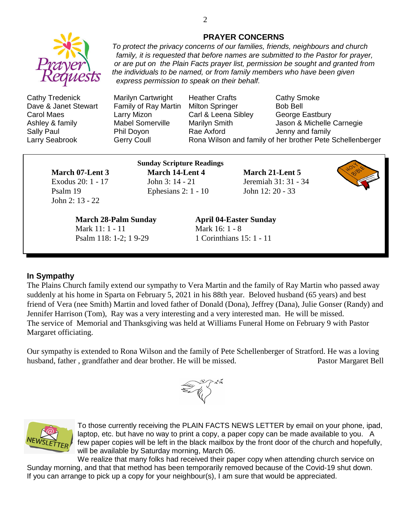

Cathy Tredenick Marilyn Cartwright Heather Crafts Cathy Smoke Dave & Janet Stewart Family of Ray Martin Milton Springer Bob Bell

Carol Maes Larry Mizon Carl & Leena Sibley George Eastbury Ashley & family **Mabel Somerville** Marilyn Smith **Marily** Jason & Michelle Carnegie Sally Paul **Phil Doyon** Rae Axford **Paul Access** Jenny and family Larry Seabrook Gerry Coull **Rona Wilson and family of her brother Pete Schellenberger** 

John 2: 13 - 22

**Sunday Scripture Readings March 07-Lent 3 March 14-Lent 4 March 21-Lent 5** Exodus 20: 1 - 17 John 3: 14 - 21 Jeremiah 31: 31 - 34 Psalm 19 Ephesians 2: 1 - 10 John 12: 20 - 33

*express permission to speak on their behalf.*

**March 28-Palm Sunday April 04-Easter Sunday** Mark 11: 1 - 11 Mark 16: 1 - 8 Psalm 118: 1-2; 1 9-29 1 Corinthians 15: 1 - 11

#### **In Sympathy**

The Plains Church family extend our sympathy to Vera Martin and the family of Ray Martin who passed away suddenly at his home in Sparta on February 5, 2021 in his 88th year. Beloved husband (65 years) and best friend of Vera (nee Smith) Martin and loved father of Donald (Dona), Jeffrey (Dana), Julie Gonser (Randy) and Jennifer Harrison (Tom), Ray was a very interesting and a very interested man. He will be missed. The service of Memorial and Thanksgiving was held at Williams Funeral Home on February 9 with Pastor Margaret officiating.

Our sympathy is extended to Rona Wilson and the family of Pete Schellenberger of Stratford. He was a loving husband, father, grandfather and dear brother. He will be missed. Pastor Margaret Bell





To those currently receiving the PLAIN FACTS NEWS LETTER by email on your phone, ipad, laptop, etc. but have no way to print a copy, a paper copy can be made available to you. A few paper copies will be left in the black mailbox by the front door of the church and hopefully, will be available by Saturday morning, March 06.

We realize that many folks had received their paper copy when attending church service on Sunday morning, and that that method has been temporarily removed because of the Covid-19 shut down. If you can arrange to pick up a copy for your neighbour(s), I am sure that would be appreciated.

#### **PRAYER CONCERNS** *To protect the privacy concerns of our families, friends, neighbours and church*

*family, it is requested that before names are submitted to the Pastor for prayer, or are put on the Plain Facts prayer list, permission be sought and granted from*

*the individuals to be named, or from family members who have been given*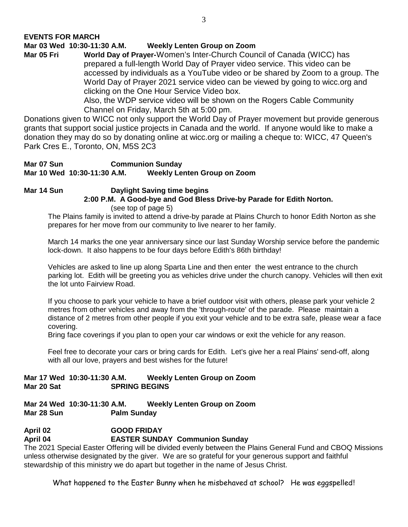**Mar 03 Wed 10:30-11:30 A.M. Weekly Lenten Group on Zoom**

**Mar 05 Fri World Day of Prayer-**Women's Inter-Church Council of Canada (WICC) has prepared a full-length World Day of Prayer video service. This video can be accessed by individuals as a YouTube video or be shared by Zoom to a group. The World Day of Prayer 2021 service video can be viewed by going to wicc.org and clicking on the One Hour Service Video box.

Also, the WDP service video will be shown on the Rogers Cable Community Channel on Friday, March 5th at 5:00 pm.

Donations given to WICC not only support the World Day of Prayer movement but provide generous grants that support social justice projects in Canada and the world. If anyone would like to make a donation they may do so by donating online at wicc.org or mailing a cheque to: WICC, 47 Queen's Park Cres E., Toronto, ON, M5S 2C3

#### **Mar 07 Sun Communion Sunday Mar 10 Wed 10:30-11:30 A.M. Weekly Lenten Group on Zoom**

# **Mar 14 Sun Daylight Saving time begins 2:00 P.M. A Good-bye and God Bless Drive-by Parade for Edith Norton.**

(see top of page 5)

The Plains family is invited to attend a drive-by parade at Plains Church to honor Edith Norton as she prepares for her move from our community to live nearer to her family.

March 14 marks the one year anniversary since our last Sunday Worship service before the pandemic lock-down. It also happens to be four days before Edith's 86th birthday!

Vehicles are asked to line up along Sparta Line and then enter the west entrance to the church parking lot. Edith will be greeting you as vehicles drive under the church canopy. Vehicles will then exit the lot unto Fairview Road.

If you choose to park your vehicle to have a brief outdoor visit with others, please park your vehicle 2 metres from other vehicles and away from the 'through-route' of the parade. Please maintain a distance of 2 metres from other people if you exit your vehicle and to be extra safe, please wear a face covering.

Bring face coverings if you plan to open your car windows or exit the vehicle for any reason.

Feel free to decorate your cars or bring cards for Edith. Let's give her a real Plains' send-off, along with all our love, prayers and best wishes for the future!

#### **Mar 17 Wed 10:30-11:30 A.M. Weekly Lenten Group on Zoom Mar 20 Sat SPRING BEGINS**

#### **Mar 24 Wed 10:30-11:30 A.M. Weekly Lenten Group on Zoom Mar 28 Sun Palm Sunday**

# **April 02 GOOD FRIDAY April 04 EASTER SUNDAY Communion Sunday**

The 2021 Special Easter Offering will be divided evenly between the Plains General Fund and CBOQ Missions unless otherwise designated by the giver. We are so grateful for your generous support and faithful stewardship of this ministry we do apart but together in the name of Jesus Christ.

What happened to the Easter Bunny when he misbehaved at school? He was eggspelled!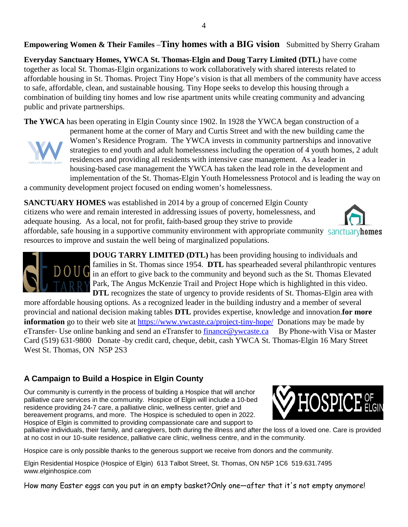# **Empowering Women & Their Familes** –**Tiny homes with a BIG vision** Submitted by Sherry Graham

**Everyday Sanctuary Homes, YWCA St. Thomas-Elgin and Doug Tarry Limited (DTL)** have come together as local St. Thomas-Elgin organizations to work collaboratively with shared interests related to affordable housing in St. Thomas. Project Tiny Hope's vision is that all members of the community have access to safe, affordable, clean, and sustainable housing. Tiny Hope seeks to develop this housing through a combination of building tiny homes and low rise apartment units while creating community and advancing public and private partnerships.

**The YWCA** has been operating in Elgin County since 1902. In 1928 the YWCA began construction of a



permanent home at the corner of Mary and Curtis Street and with the new building came the Women's Residence Program. The YWCA invests in community partnerships and innovative strategies to end youth and adult homelessness including the operation of 4 youth homes, 2 adult residences and providing all residents with intensive case management. As a leader in housing-based case management the YWCA has taken the lead role in the development and implementation of the St. Thomas-Elgin Youth Homelessness Protocol and is leading the way on

a community development project focused on ending women's homelessness.

**SANCTUARY HOMES** was established in 2014 by a group of concerned Elgin County citizens who were and remain interested in addressing issues of poverty, homelessness, and adequate housing. As a local, not for profit, faith-based group they strive to provide affordable, safe housing in a supportive community environment with appropriate community sanctuary homes

resources to improve and sustain the well being of marginalized populations.



**DOUG TARRY LIMITED (DTL)** has been providing housing to individuals and families in St. Thomas since 1954. **DTL** has spearheaded several philanthropic ventures in an effort to give back to the community and beyond such as the St. Thomas Elevated Park, The Angus McKenzie Trail and Project Hope which is highlighted in this video. **DTL** recognizes the state of urgency to provide residents of St. Thomas-Elgin area with

more affordable housing options. As a recognized leader in the building industry and a member of several provincial and national decision making tables **DTL** provides expertise, knowledge and innovation.**for more information** go to their web site at https://www.ywcaste.ca/project-tiny-hope/ Donations may be made by eTransfer- Use online banking and send an eTransfer to finance@ywcaste.ca By Phone-with Visa or Master Card (519) 631-9800 Donate -by credit card, cheque, debit, cash YWCA St. Thomas-Elgin 16 Mary Street West St. Thomas, ON N5P 2S3

# **A Campaign to Build a Hospice in Elgin County**

Our community is currently in the process of building a Hospice that will anchor palliative care services in the community. Hospice of Elgin will include a 10-bed residence providing 24-7 care, a palliative clinic, wellness center, grief and bereavement programs, and more. The Hospice is scheduled to open in 2022. Hospice of Elgin is committed to providing compassionate care and support to



palliative individuals, their family, and caregivers, both during the illness and after the loss of a loved one. Care is provided at no cost in our 10-suite residence, palliative care clinic, wellness centre, and in the community.

Hospice care is only possible thanks to the generous support we receive from donors and the community.

Elgin Residential Hospice (Hospice of Elgin) 613 Talbot Street, St. Thomas, ON N5P 1C6 519.631.7495 www.elginhospice.com

How many Easter eggs can you put in an empty basket?Only one—after that it's not empty anymore!

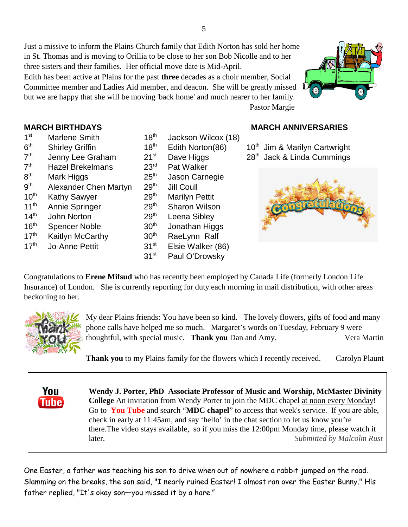Just a missive to inform the Plains Church family that Edith Norton has sold her home in St. Thomas and is moving to Orillia to be close to her son Bob Nicolle and to her three sisters and their families. Her official move date is Mid-April.

Edith has been active at Plains for the past **three** decades as a choir member, Social Committee member and Ladies Aid member, and deacon. She will be greatly missed but we are happy that she will be moving 'back home' and much nearer to her family. Pastor Margie



- $1<sup>st</sup>$  $6<sup>th</sup>$  $7<sup>th</sup>$  $7<sup>th</sup>$ Hazel Brekelmans 23<sup>rd</sup> Pat Walker  $8<sup>th</sup>$ Mark Higgs  $25<sup>th</sup>$  Jason Carnegie<br>Alexander Chen Martvn  $29<sup>th</sup>$  Jill Coull  $9<sup>th</sup>$ Alexander Chen Martyn 29<sup>th</sup> Jill Coull 10<sup>th</sup> Kathy Sawyer 29<sup>th</sup> Marilyn Pettit 11<sup>th</sup> Annie Springer 29<sup>th</sup> Sharon Wilson  $14<sup>th</sup>$  John Norton 29<sup>th</sup> Leena Sibley  $16<sup>th</sup>$  Spencer Noble  $30<sup>th</sup>$  Jonathan Higgs  $17<sup>th</sup>$  Kaitlyn McCarthy  $30<sup>th</sup>$  RaeLynn Ralf  $17<sup>th</sup>$  Jo-Anne Pettit  $31<sup>st</sup>$  Elsie Walker (86)
- Marlene Smith  $18<sup>th</sup>$  Jackson Wilcox (18) 31<sup>st</sup> Paul O'Drowsky

# **MARCH BIRTHDAYS MARCH ANNIVERSARIES**

Shirley Griffin  $18<sup>th</sup>$  Edith Norton(86)  $10<sup>th</sup>$  Jim & Marilyn Cartwright Jenny Lee Graham 21<sup>st</sup> Dave Higgs 28<sup>th</sup> Jack & Linda Cummings



Congratulations to **Erene Mifsud** who has recently been employed by Canada Life (formerly London Life Insurance) of London. She is currently reporting for duty each morning in mail distribution, with other areas beckoning to her.



You **Tube** 

My dear Plains friends: You have been so kind. The lovely flowers, gifts of food and many phone calls have helped me so much. Margaret's words on Tuesday, February 9 were thoughtful, with special music. **Thank you** Dan and Amy. Vera Martin

**Thank you** to my Plains family for the flowers which I recently received. Carolyn Plaunt

**Wendy J. Porter, PhD Associate Professor of Music and Worship, McMaster Divinity College** An invitation from Wendy Porter to join the MDC chapel at noon every Monday! Go to **You Tube** and search "**MDC chapel**" to access that week's service. If you are able, check in early at 11:45am, and say 'hello' in the chat section to let us know you're there.The video stays available, so if you miss the 12:00pm Monday time, please watch it later. *Submitted by Malcolm Rust*

One Easter, a father was teaching his son to drive when out of nowhere a rabbit jumped on the road. Slamming on the breaks, the son said, "I nearly ruined Easter! I almost ran over the Easter Bunny." His father replied, "It's okay son—you missed it by a hare."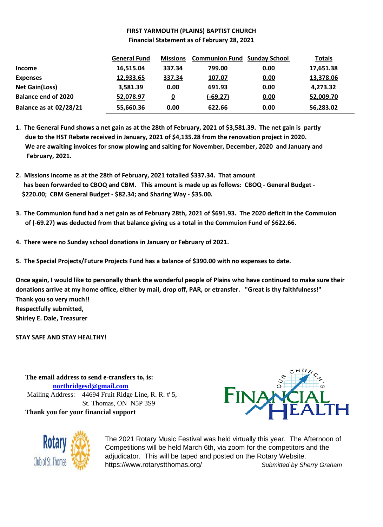#### **FIRST YARMOUTH (PLAINS) BAPTIST CHURCH Financial Statement as of February 28, 2021**

|                               | <b>General Fund</b> | <b>Missions</b> | <b>Communion Fund Sunday School</b> |      | <b>Totals</b> |
|-------------------------------|---------------------|-----------------|-------------------------------------|------|---------------|
| <b>Income</b>                 | 16,515.04           | 337.34          | 799.00                              | 0.00 | 17,651.38     |
| <b>Expenses</b>               | 12,933.65           | 337.34          | 107.07                              | 0.00 | 13,378.06     |
| <b>Net Gain(Loss)</b>         | 3,581.39            | 0.00            | 691.93                              | 0.00 | 4,273.32      |
| <b>Balance end of 2020</b>    | 52,078.97           | <u>0</u>        | $(-69.27)$                          | 0.00 | 52,009.70     |
| <b>Balance as at 02/28/21</b> | 55,660.36           | 0.00            | 622.66                              | 0.00 | 56,283.02     |

**1. The General Fund shows a net gain as at the 28th of February, 2021 of \$3,581.39. The net gain is partly due to the HST Rebate received in January, 2021 of \$4,135.28 from the renovation project in 2020. We are awaiting invoices for snow plowing and salting for November, December, 2020 and January and February, 2021.**

- **2. Missions income as at the 28th of February, 2021 totalled \$337.34. That amount has been forwarded to CBOQ and CBM. This amount is made up as follows: CBOQ - General Budget - \$220.00; CBM General Budget - \$82.34; and Sharing Way - \$35.00.**
- **3. The Communion fund had a net gain as of February 28th, 2021 of \$691.93. The 2020 deficit in the Commuion of (-69.27) was deducted from that balance giving us a total in the Commuion Fund of \$622.66.**
- **4. There were no Sunday school donations in January or February of 2021.**
- **5. The Special Projects/Future Projects Fund has a balance of \$390.00 with no expenses to date.**

**Once again, I would like to personally thank the wonderful people of Plains who have continued to make sure their donations arrive at my home office, either by mail, drop off, PAR, or etransfer. "Great is thy faithfulness!" Thank you so very much!! Respectfully submitted, Shirley E. Dale, Treasurer**

**STAY SAFE AND STAY HEALTHY!**

**The email address to send e-transfers to, is: northridgesd@gmail.com** Mailing Address: 44694 Fruit Ridge Line, R. R. # 5, St. Thomas, ON N5P 3S9 **Thank you for your financial support**





The 2021 Rotary Music Festival was held virtually this year. The Afternoon of Competitions will be held March 6th, via zoom for the competitors and the adjudicator. This will be taped and posted on the Rotary Website. https://www.rotarystthomas.org/ *Submitted by Sherry Graham*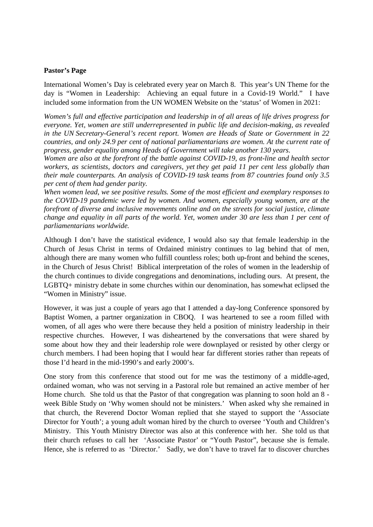#### **Pastor's Page**

International Women's Day is celebrated every year on March 8. This year's UN Theme for the day is "Women in Leadership: Achieving an equal future in a Covid-19 World." I have included some information from the UN WOMEN Website on the 'status' of Women in 2021:

*Women's full and effective participation and leadership in of all areas of life drives progress for everyone. Yet, women are still underrepresented in public life and decision-making, as revealed in the UN Secretary-General's recent report. Women are Heads of State or Government in 22 countries, and only 24.9 per cent of national parliamentarians are women. At the current rate of progress, gender equality among Heads of Government will take another 130 years.*

*Women are also at the forefront of the battle against COVID-19, as front-line and health sector workers, as scientists, doctors and caregivers, yet they get paid 11 per cent less globally than their male counterparts. An analysis of COVID-19 task teams from 87 countries found only 3.5 per cent of them had gender parity.*

*When women lead, we see positive results. Some of the most efficient and exemplary responses to the COVID-19 pandemic were led by women. And women, especially young women, are at the forefront of diverse and inclusive movements online and on the streets for social justice, climate change and equality in all parts of the world. Yet, women under 30 are less than 1 per cent of parliamentarians worldwide.*

Although I don't have the statistical evidence, I would also say that female leadership in the Church of Jesus Christ in terms of Ordained ministry continues to lag behind that of men, although there are many women who fulfill countless roles; both up-front and behind the scenes, in the Church of Jesus Christ! Biblical interpretation of the roles of women in the leadership of the church continues to divide congregations and denominations, including ours. At present, the LGBTQ+ ministry debate in some churches within our denomination, has somewhat eclipsed the "Women in Ministry" issue.

However, it was just a couple of years ago that I attended a day-long Conference sponsored by Baptist Women, a partner organization in CBOQ. I was heartened to see a room filled with women, of all ages who were there because they held a position of ministry leadership in their respective churches. However, I was disheartened by the conversations that were shared by some about how they and their leadership role were downplayed or resisted by other clergy or church members. I had been hoping that I would hear far different stories rather than repeats of those I'd heard in the mid-1990's and early 2000's.

One story from this conference that stood out for me was the testimony of a middle-aged, ordained woman, who was not serving in a Pastoral role but remained an active member of her Home church. She told us that the Pastor of that congregation was planning to soon hold an 8 week Bible Study on 'Why women should not be ministers.' When asked why she remained in that church, the Reverend Doctor Woman replied that she stayed to support the 'Associate Director for Youth'; a young adult woman hired by the church to oversee 'Youth and Children's Ministry. This Youth Ministry Director was also at this conference with her. She told us that their church refuses to call her 'Associate Pastor' or "Youth Pastor", because she is female. Hence, she is referred to as 'Director.' Sadly, we don't have to travel far to discover churches